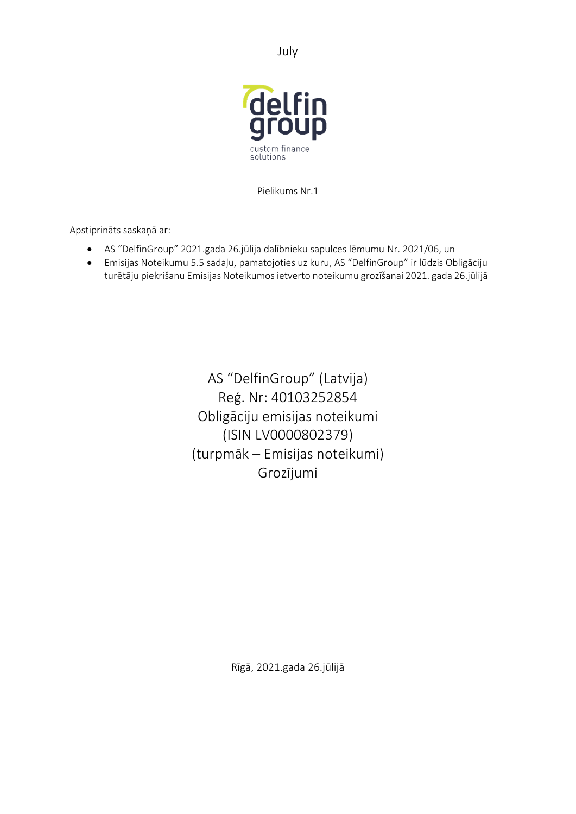July



Pielikums Nr.1

Apstiprināts saskaņā ar:

- AS "DelfinGroup" 2021.gada 26.jūlija dalībnieku sapulces lēmumu Nr. 2021/06, un
- Emisijas Noteikumu 5.5 sadaļu, pamatojoties uz kuru, AS "DelfinGroup" ir lūdzis Obligāciju turētāju piekrišanu Emisijas Noteikumos ietverto noteikumu grozīšanai 2021. gada 26.jūlijā

AS "DelfinGroup" (Latvija) Reģ. Nr: 40103252854 Obligāciju emisijas noteikumi (ISIN LV0000802379) (turpmāk – Emisijas noteikumi) Grozījumi

Rīgā, 2021.gada 26.jūlijā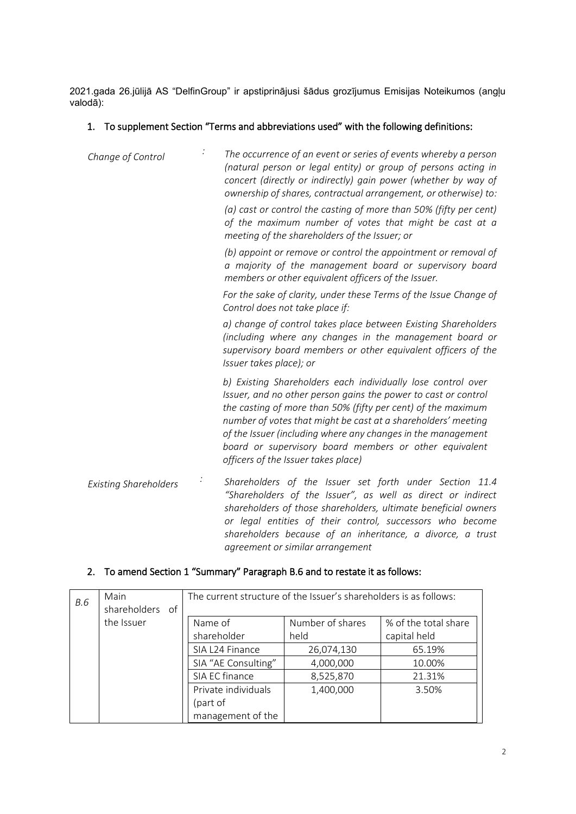2021.gada 26.jūlijā AS "DelfinGroup" ir apstiprinājusi šādus grozījumus Emisijas Noteikumos (angļu valodā):

#### 1. To supplement Section "Terms and abbreviations used" with the following definitions:

| Change of Control            | The occurrence of an event or series of events whereby a person<br>(natural person or legal entity) or group of persons acting in<br>concert (directly or indirectly) gain power (whether by way of<br>ownership of shares, contractual arrangement, or otherwise) to:                                                                                                                                                           |
|------------------------------|----------------------------------------------------------------------------------------------------------------------------------------------------------------------------------------------------------------------------------------------------------------------------------------------------------------------------------------------------------------------------------------------------------------------------------|
|                              | (a) cast or control the casting of more than 50% (fifty per cent)<br>of the maximum number of votes that might be cast at a<br>meeting of the shareholders of the Issuer; or                                                                                                                                                                                                                                                     |
|                              | (b) appoint or remove or control the appointment or removal of<br>a majority of the management board or supervisory board<br>members or other equivalent officers of the Issuer.                                                                                                                                                                                                                                                 |
|                              | For the sake of clarity, under these Terms of the Issue Change of<br>Control does not take place if:                                                                                                                                                                                                                                                                                                                             |
|                              | a) change of control takes place between Existing Shareholders<br>(including where any changes in the management board or<br>supervisory board members or other equivalent officers of the<br>Issuer takes place); or                                                                                                                                                                                                            |
|                              | b) Existing Shareholders each individually lose control over<br>Issuer, and no other person gains the power to cast or control<br>the casting of more than 50% (fifty per cent) of the maximum<br>number of votes that might be cast at a shareholders' meeting<br>of the Issuer (including where any changes in the management<br>board or supervisory board members or other equivalent<br>officers of the Issuer takes place) |
| <b>Existing Shareholders</b> | Shareholders of the Issuer set forth under Section 11.4<br>"Shareholders of the Issuer", as well as direct or indirect<br>shareholders of those shareholders, ultimate beneficial owners<br>or legal entities of their control, successors who become                                                                                                                                                                            |

*shareholders because of an inheritance, a divorce, a trust* 

### 2. To amend Section 1 "Summary" Paragraph B.6 and to restate it as follows:

| <b>B.6</b> | Main<br>shareholders of | The current structure of the Issuer's shareholders is as follows: |                  |                      |
|------------|-------------------------|-------------------------------------------------------------------|------------------|----------------------|
|            | the Issuer              | Name of                                                           | Number of shares | % of the total share |
|            |                         | shareholder                                                       | held             | capital held         |
|            |                         | SIA L24 Finance                                                   | 26,074,130       | 65.19%               |
|            |                         | SIA "AE Consulting"                                               | 4,000,000        | 10.00%               |
|            |                         | SIA EC finance                                                    | 8,525,870        | 21.31%               |
|            |                         | Private individuals                                               | 1,400,000        | 3.50%                |
|            |                         | (part of                                                          |                  |                      |
|            |                         | management of the                                                 |                  |                      |

*agreement or similar arrangement*